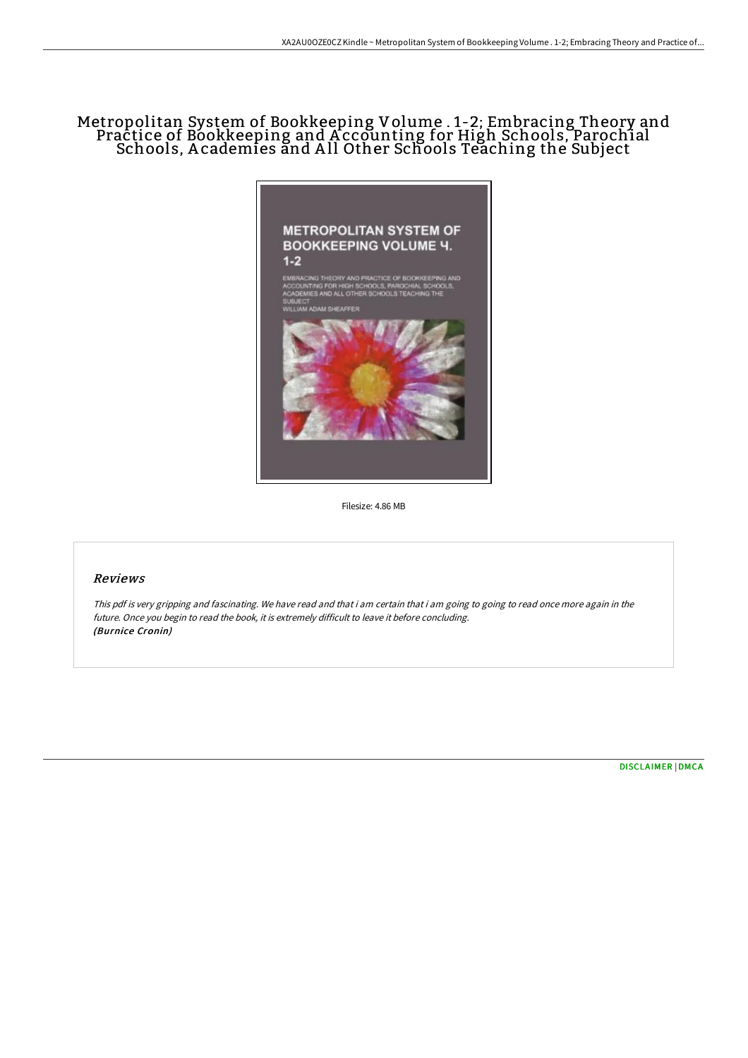# Metropolitan System of Bookkeeping Volume . 1-2; Embracing Theory and Practice of Bookkeeping and A ccounting for High Schools, Parochial Schools, A cademies and A ll Other Schools Teaching the Subject



Filesize: 4.86 MB

# Reviews

This pdf is very gripping and fascinating. We have read and that i am certain that i am going to going to read once more again in the future. Once you begin to read the book, it is extremely difficult to leave it before concluding. (Burnice Cronin)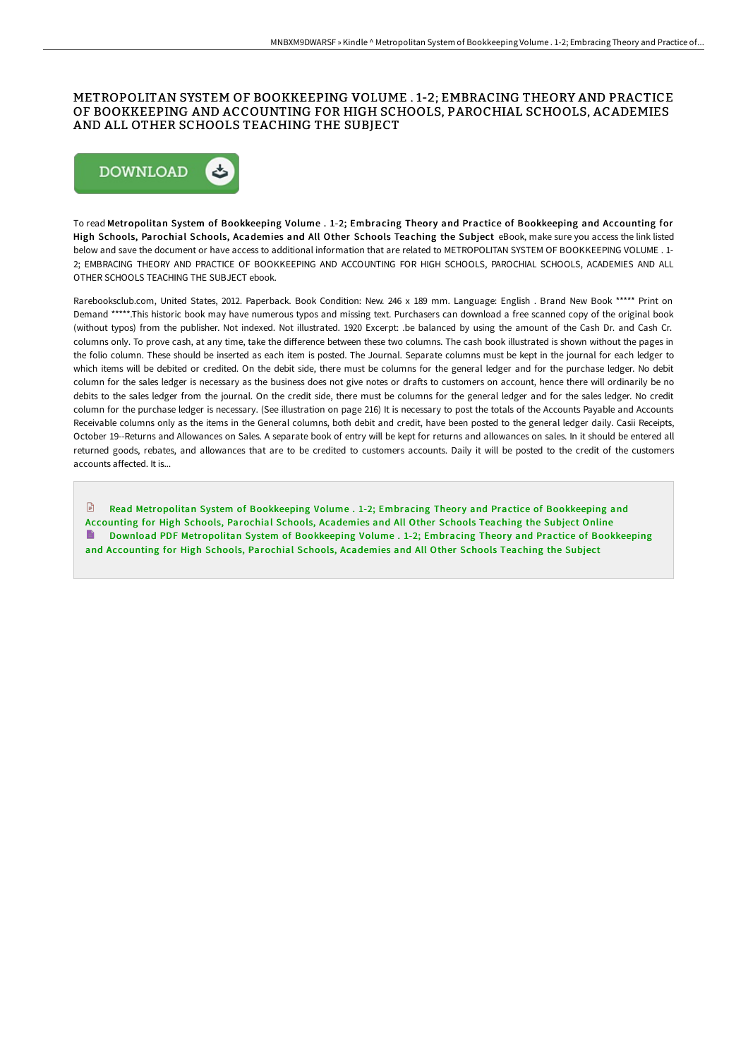### METROPOLITAN SYSTEM OF BOOKKEEPING VOLUME . 1-2; EMBRACING THEORY AND PRACTICE OF BOOKKEEPING AND ACCOUNTING FOR HIGH SCHOOLS, PAROCHIAL SCHOOLS, ACADEMIES AND ALL OTHER SCHOOLS TEACHING THE SUBJECT



To read Metropolitan System of Bookkeeping Volume . 1-2; Embracing Theory and Practice of Bookkeeping and Accounting for High Schools, Parochial Schools, Academies and All Other Schools Teaching the Subject eBook, make sure you access the link listed below and save the document or have access to additional information that are related to METROPOLITAN SYSTEM OF BOOKKEEPING VOLUME . 1- 2; EMBRACING THEORY AND PRACTICE OF BOOKKEEPING AND ACCOUNTING FOR HIGH SCHOOLS, PAROCHIAL SCHOOLS, ACADEMIES AND ALL OTHER SCHOOLS TEACHING THE SUBJECT ebook.

Rarebooksclub.com, United States, 2012. Paperback. Book Condition: New. 246 x 189 mm. Language: English . Brand New Book \*\*\*\*\* Print on Demand \*\*\*\*\*.This historic book may have numerous typos and missing text. Purchasers can download a free scanned copy of the original book (without typos) from the publisher. Not indexed. Not illustrated. 1920 Excerpt: .be balanced by using the amount of the Cash Dr. and Cash Cr. columns only. To prove cash, at any time, take the difference between these two columns. The cash book illustrated is shown without the pages in the folio column. These should be inserted as each item is posted. The Journal. Separate columns must be kept in the journal for each ledger to which items will be debited or credited. On the debit side, there must be columns for the general ledger and for the purchase ledger. No debit column for the sales ledger is necessary as the business does not give notes or drafts to customers on account, hence there will ordinarily be no debits to the sales ledger from the journal. On the credit side, there must be columns for the general ledger and for the sales ledger. No credit column for the purchase ledger is necessary. (See illustration on page 216) It is necessary to post the totals of the Accounts Payable and Accounts Receivable columns only as the items in the General columns, both debit and credit, have been posted to the general ledger daily. Casii Receipts, October 19--Returns and Allowances on Sales. A separate book of entry will be kept for returns and allowances on sales. In it should be entered all returned goods, rebates, and allowances that are to be credited to customers accounts. Daily it will be posted to the credit of the customers accounts affected. It is...

**E** Read [Metropolitan](http://techno-pub.tech/metropolitan-system-of-bookkeeping-volume-1-2-em.html) System of Bookkeeping Volume . 1-2; Embracing Theory and Practice of Bookkeeping and Accounting for High Schools, Parochial Schools, Academies and All Other Schools Teaching the Subject Online Download PDF [Metropolitan](http://techno-pub.tech/metropolitan-system-of-bookkeeping-volume-1-2-em.html) System of Bookkeeping Volume . 1-2; Embracing Theory and Practice of Bookkeeping and Accounting for High Schools, Parochial Schools, Academies and All Other Schools Teaching the Subject